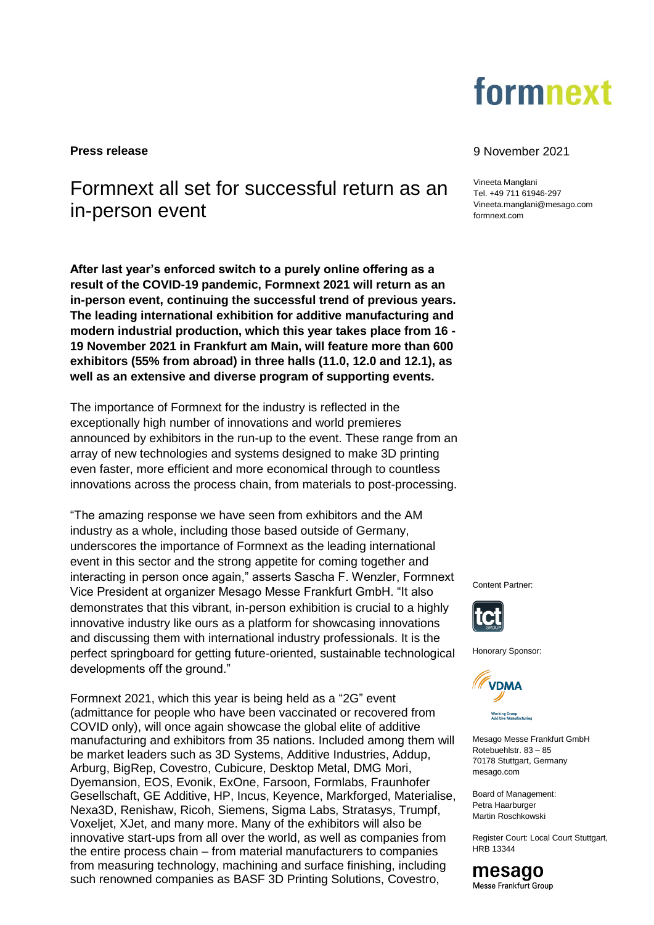

# Formnext all set for successful return as an in-person event

**After last year's enforced switch to a purely online offering as a result of the COVID-19 pandemic, Formnext 2021 will return as an in-person event, continuing the successful trend of previous years. The leading international exhibition for additive manufacturing and modern industrial production, which this year takes place from 16 - 19 November 2021 in Frankfurt am Main, will feature more than 600 exhibitors (55% from abroad) in three halls (11.0, 12.0 and 12.1), as well as an extensive and diverse program of supporting events.** 

The importance of Formnext for the industry is reflected in the exceptionally high number of innovations and world premieres announced by exhibitors in the run-up to the event. These range from an array of new technologies and systems designed to make 3D printing even faster, more efficient and more economical through to countless innovations across the process chain, from materials to post-processing.

"The amazing response we have seen from exhibitors and the AM industry as a whole, including those based outside of Germany, underscores the importance of Formnext as the leading international event in this sector and the strong appetite for coming together and interacting in person once again," asserts Sascha F. Wenzler, Formnext Vice President at organizer Mesago Messe Frankfurt GmbH. "It also demonstrates that this vibrant, in-person exhibition is crucial to a highly innovative industry like ours as a platform for showcasing innovations and discussing them with international industry professionals. It is the perfect springboard for getting future-oriented, sustainable technological developments off the ground."

Formnext 2021, which this year is being held as a "2G" event (admittance for people who have been vaccinated or recovered from COVID only), will once again showcase the global elite of additive manufacturing and exhibitors from 35 nations. Included among them will be market leaders such as 3D Systems, Additive Industries, Addup, Arburg, BigRep, Covestro, Cubicure, Desktop Metal, DMG Mori, Dyemansion, EOS, Evonik, ExOne, Farsoon, Formlabs, Fraunhofer Gesellschaft, GE Additive, HP, Incus, Keyence, Markforged, Materialise, Nexa3D, Renishaw, Ricoh, Siemens, Sigma Labs, Stratasys, Trumpf, Voxeljet, XJet, and many more. Many of the exhibitors will also be innovative start-ups from all over the world, as well as companies from the entire process chain – from material manufacturers to companies from measuring technology, machining and surface finishing, including such renowned companies as BASF 3D Printing Solutions, Covestro,

# **Press release** 9 November 2021

Vineeta Manglani Tel. +49 711 61946-297 Vineeta.manglani@mesago.com [formnext.com](https://www.mesago.de/en/formnext/home.htm)

Content Partner:



Honorary Sponsor:



Mesago Messe Frankfurt GmbH Rotebuehlstr. 83 – 85 70178 Stuttgart, Germany mesago.com

Board of Management: Petra Haarburger Martin Roschkowski

Register Court: Local Court Stuttgart, HRB 13344

mesago Messe Frankfurt Group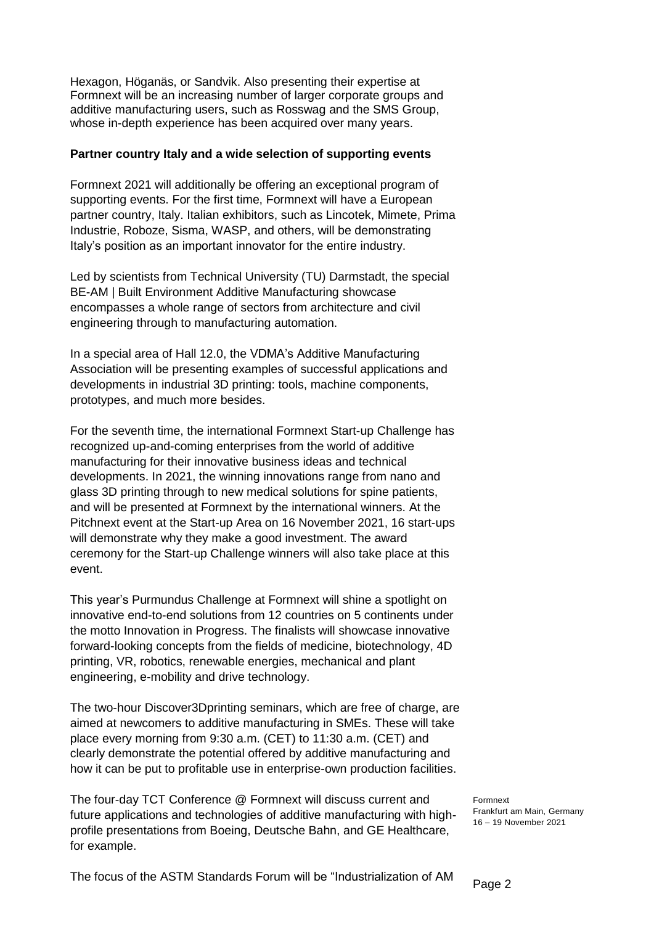Hexagon, Höganäs, or Sandvik. Also presenting their expertise at Formnext will be an increasing number of larger corporate groups and additive manufacturing users, such as Rosswag and the SMS Group, whose in-depth experience has been acquired over many years.

# **Partner country Italy and a wide selection of supporting events**

Formnext 2021 will additionally be offering an exceptional program of supporting events. For the first time, Formnext will have a European partner country, Italy. Italian exhibitors, such as Lincotek, Mimete, Prima Industrie, Roboze, Sisma, WASP, and others, will be demonstrating Italy's position as an important innovator for the entire industry.

Led by scientists from Technical University (TU) Darmstadt, the special BE-AM | Built Environment Additive Manufacturing showcase encompasses a whole range of sectors from architecture and civil engineering through to manufacturing automation.

In a special area of Hall 12.0, the VDMA's Additive Manufacturing Association will be presenting examples of successful applications and developments in industrial 3D printing: tools, machine components, prototypes, and much more besides.

For the seventh time, the international Formnext Start-up Challenge has recognized up-and-coming enterprises from the world of additive manufacturing for their innovative business ideas and technical developments. In 2021, the winning innovations range from nano and glass 3D printing through to new medical solutions for spine patients, and will be presented at Formnext by the international winners. At the Pitchnext event at the Start-up Area on 16 November 2021, 16 start-ups will demonstrate why they make a good investment. The award ceremony for the Start-up Challenge winners will also take place at this event.

This year's Purmundus Challenge at Formnext will shine a spotlight on innovative end-to-end solutions from 12 countries on 5 continents under the motto Innovation in Progress. The finalists will showcase innovative forward-looking concepts from the fields of medicine, biotechnology, 4D printing, VR, robotics, renewable energies, mechanical and plant engineering, e-mobility and drive technology.

The two-hour Discover3Dprinting seminars, which are free of charge, are aimed at newcomers to additive manufacturing in SMEs. These will take place every morning from 9:30 a.m. (CET) to 11:30 a.m. (CET) and clearly demonstrate the potential offered by additive manufacturing and how it can be put to profitable use in enterprise-own production facilities.

The four-day TCT Conference @ Formnext will discuss current and future applications and technologies of additive manufacturing with highprofile presentations from Boeing, Deutsche Bahn, and GE Healthcare, for example.

Formnext Frankfurt am Main, Germany 16 – 19 November 2021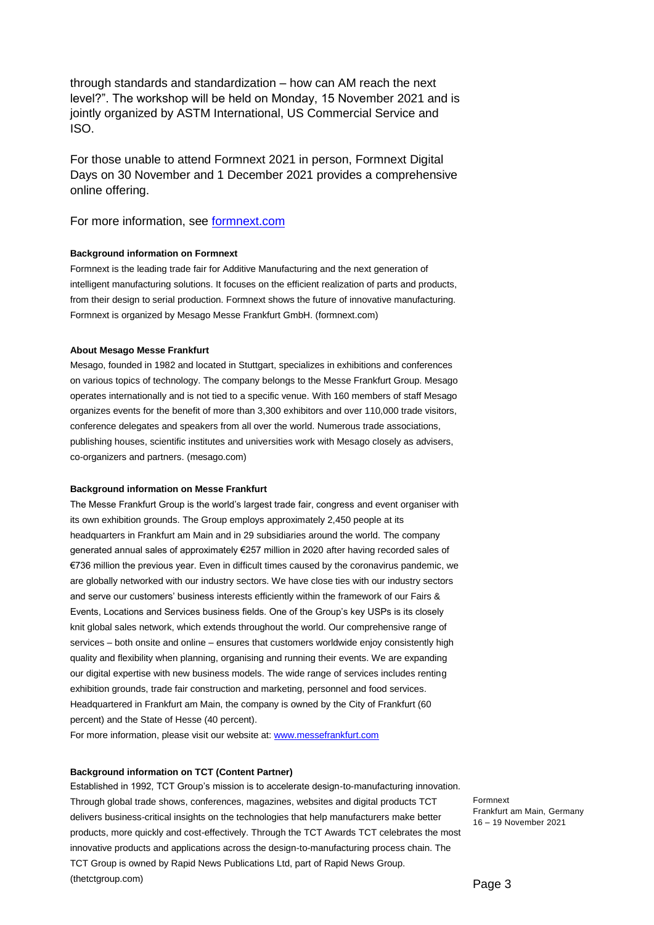through standards and standardization – how can AM reach the next level?". The workshop will be held on Monday, 15 November 2021 and is jointly organized by ASTM International, US Commercial Service and ISO.

For those unable to attend Formnext 2021 in person, Formnext Digital Days on 30 November and 1 December 2021 provides a comprehensive online offering.

For more information, see **formnext.com** 

## **Background information on Formnext**

Formnext is the leading trade fair for Additive Manufacturing and the next generation of intelligent manufacturing solutions. It focuses on the efficient realization of parts and products, from their design to serial production. Formnext shows the future of innovative manufacturing. Formnext is organized by Mesago Messe Frankfurt GmbH. [\(formnext.com\)](https://www.mesago.de/en/formnext/home.htm?ovs_tnid=0)

#### **About Mesago Messe Frankfurt**

Mesago, founded in 1982 and located in Stuttgart, specializes in exhibitions and conferences on various topics of technology. The company belongs to the Messe Frankfurt Group. Mesago operates internationally and is not tied to a specific venue. With 160 members of staff Mesago organizes events for the benefit of more than 3,300 exhibitors and over 110,000 trade visitors, conference delegates and speakers from all over the world. Numerous trade associations, publishing houses, scientific institutes and universities work with Mesago closely as advisers, co-organizers and partners. [\(mesago.com\)](https://www.mesago.de/en/Mesago/home.htm)

#### **Background information on Messe Frankfurt**

The Messe Frankfurt Group is the world's largest trade fair, congress and event organiser with its own exhibition grounds. The Group employs approximately 2,450 people at its headquarters in Frankfurt am Main and in 29 subsidiaries around the world. The company generated annual sales of approximately €257 million in 2020 after having recorded sales of €736 million the previous year. Even in difficult times caused by the coronavirus pandemic, we are globally networked with our industry sectors. We have close ties with our industry sectors and serve our customers' business interests efficiently within the framework of our Fairs & Events, Locations and Services business fields. One of the Group's key USPs is its closely knit global sales network, which extends throughout the world. Our comprehensive range of services – both onsite and online – ensures that customers worldwide enjoy consistently high quality and flexibility when planning, organising and running their events. We are expanding our digital expertise with new business models. The wide range of services includes renting exhibition grounds, trade fair construction and marketing, personnel and food services. Headquartered in Frankfurt am Main, the company is owned by the City of Frankfurt (60 percent) and the State of Hesse (40 percent).

For more information, please visit our website at[: www.messefrankfurt.com](http://www.messefrankfurt.com/)

## **Background information on TCT (Content Partner)**

Established in 1992, TCT Group's mission is to accelerate design-to-manufacturing innovation. Through global trade shows, conferences, magazines, websites and digital products TCT delivers business-critical insights on the technologies that help manufacturers make better products, more quickly and cost-effectively. Through the TCT Awards TCT celebrates the most innovative products and applications across the design-to-manufacturing process chain. The TCT Group is owned by Rapid News Publications Ltd, part of Rapid News Group. [\(thetctgroup.com\)](https://www.thetctgroup.com/)

Formnext Frankfurt am Main, Germany 16 – 19 November 2021